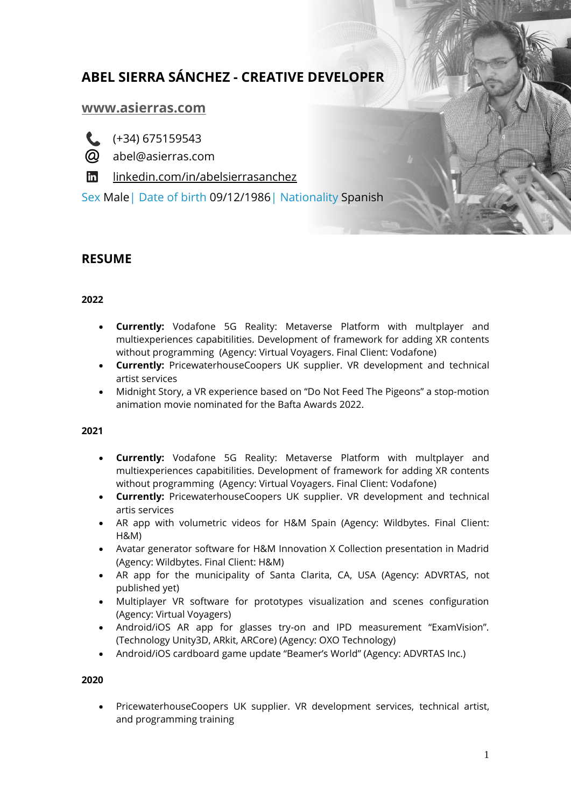# **ABEL SIERRA SÁNCHEZ - CREATIVE DEVELOPER**

# **[www.asierras.com](file:///C:\Users\Abel\Documents\MEGA\GESTIONES\CVs\www.asierras.com)**

 $(+34)$  675159543

 $\omega$  abel@asierras.com

in [linkedin.com/in/abelsierrasanchez](https://es.linkedin.com/in/abelsierrasanchez)

Sex Male| Date of birth 09/12/1986| Nationality Spanish

# **RESUME**

### **2022**

- **Currently:** Vodafone 5G Reality: Metaverse Platform with multplayer and multiexperiences capabitilities. Development of framework for adding XR contents without programming (Agency: Virtual Voyagers. Final Client: Vodafone)
- **Currently:** PricewaterhouseCoopers UK supplier. VR development and technical artist services
- Midnight Story, a VR experience based on "Do Not Feed The Pigeons" a stop-motion animation movie nominated for the Bafta Awards 2022.

#### **2021**

- **Currently:** Vodafone 5G Reality: Metaverse Platform with multplayer and multiexperiences capabitilities. Development of framework for adding XR contents without programming (Agency: Virtual Voyagers. Final Client: Vodafone)
- **Currently:** PricewaterhouseCoopers UK supplier. VR development and technical artis services
- AR app with volumetric videos for H&M Spain (Agency: Wildbytes. Final Client: H&M)
- Avatar generator software for H&M Innovation X Collection presentation in Madrid (Agency: Wildbytes. Final Client: H&M)
- AR app for the municipality of Santa Clarita, CA, USA (Agency: ADVRTAS, not published yet)
- Multiplayer VR software for prototypes visualization and scenes configuration (Agency: Virtual Voyagers)
- Android/iOS AR app for glasses try-on and IPD measurement "ExamVision". (Technology Unity3D, ARkit, ARCore) (Agency: OXO Technology)
- Android/iOS cardboard game update "Beamer's World" (Agency: ADVRTAS Inc.)

#### **2020**

 PricewaterhouseCoopers UK supplier. VR development services, technical artist, and programming training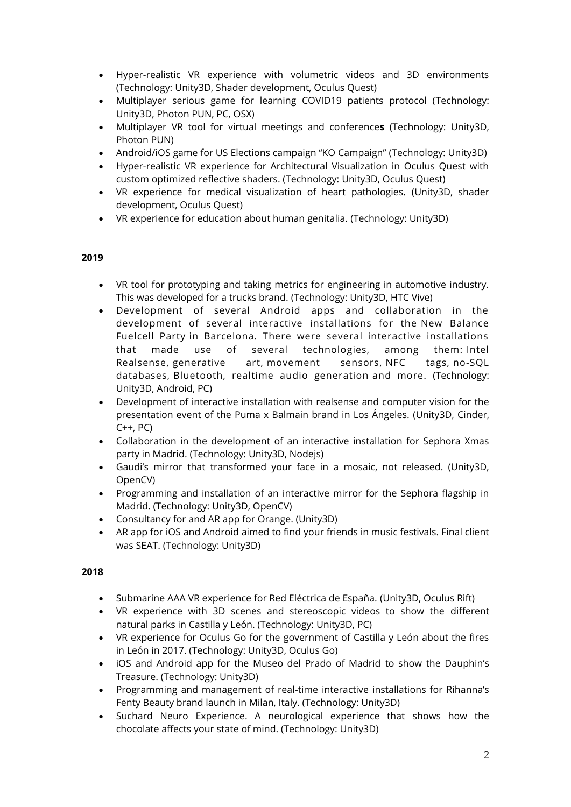- Hyper-realistic VR experience with volumetric videos and 3D environments (Technology: Unity3D, Shader development, Oculus Quest)
- Multiplayer serious game for learning COVID19 patients protocol (Technology: Unity3D, Photon PUN, PC, OSX)
- Multiplayer VR tool for virtual meetings and conference**s** (Technology: Unity3D, Photon PUN)
- Android/iOS game for US Elections campaign "KO Campaign" (Technology: Unity3D)
- Hyper-realistic VR experience for Architectural Visualization in Oculus Quest with custom optimized reflective shaders. (Technology: Unity3D, Oculus Quest)
- VR experience for medical visualization of heart pathologies. (Unity3D, shader development, Oculus Quest)
- VR experience for education about human genitalia. (Technology: Unity3D)

#### **2019**

- VR tool for prototyping and taking metrics for engineering in automotive industry. This was developed for a trucks brand. (Technology: Unity3D, HTC Vive)
- Development of several Android apps and collaboration in the development of several interactive installations for the [New Balance](https://vimeo.com/384797447)  [Fuelcell Party](https://vimeo.com/384797447) in Barcelona. There were several interactive installations that made use of several technologies, among them: Intel Realsense, generative art, movement sensors, NFC tags, no-SQL databases, Bluetooth, realtime audio generation and more. (Technology: Unity3D, Android, PC)
- Development of interactive installation with realsense and computer vision for the presentation event of the Puma x Balmain brand in Los Ángeles. (Unity3D, Cinder,  $C++$ ,  $PC$ )
- Collaboration in the development of an interactive installation for Sephora Xmas party in Madrid. (Technology: Unity3D, Nodejs)
- Gaudi's mirror that transformed your face in a mosaic, not released. (Unity3D, OpenCV)
- Programming and installation of an interactive mirror for the Sephora flagship in Madrid. (Technology: Unity3D, OpenCV)
- Consultancy for and AR app for Orange. (Unity3D)
- AR app for iOS and Android aimed to find your friends in music festivals. Final client was SEAT. (Technology: Unity3D)

# **2018**

- Submarine AAA VR experience for Red Eléctrica de España. (Unity3D, Oculus Rift)
- VR experience with 3D scenes and stereoscopic videos to show the different natural parks in Castilla y León. (Technology: Unity3D, PC)
- VR experience for Oculus Go for the government of Castilla y León about the fires in León in 2017. (Technology: Unity3D, Oculus Go)
- iOS and Android app for the Museo del Prado of Madrid to show the Dauphin's Treasure. (Technology: Unity3D)
- Programming and management of real-time interactive installations for Rihanna's Fenty Beauty brand launch in Milan, Italy. (Technology: Unity3D)
- Suchard Neuro Experience. A neurological experience that shows how the chocolate affects your state of mind. (Technology: Unity3D)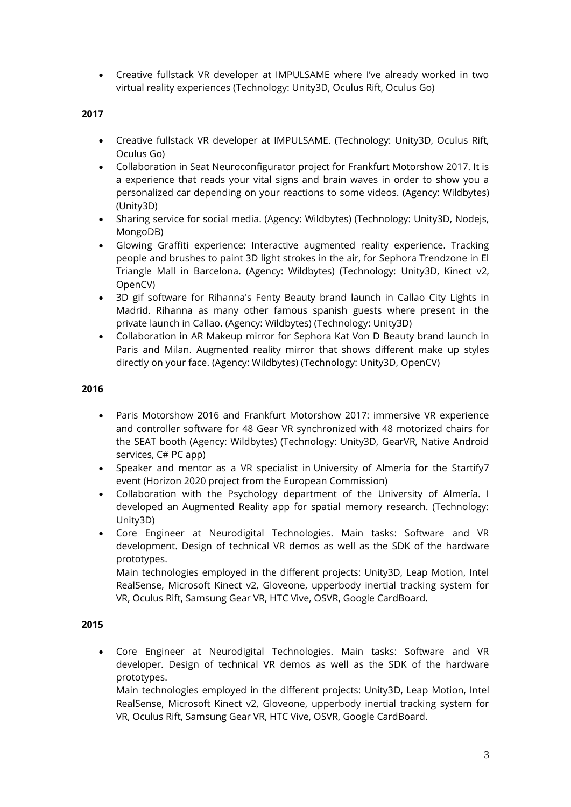Creative fullstack VR developer at IMPULSAME where I've already worked in two virtual reality experiences (Technology: Unity3D, Oculus Rift, Oculus Go)

#### **2017**

- Creative fullstack VR developer at IMPULSAME. (Technology: Unity3D, Oculus Rift, Oculus Go)
- Collaboration in Seat Neuroconfigurator project for Frankfurt Motorshow 2017. It is a experience that reads your vital signs and brain waves in order to show you a personalized car depending on your reactions to some videos. (Agency: Wildbytes) (Unity3D)
- Sharing service for social media. (Agency: Wildbytes) (Technology: Unity3D, Nodejs, MongoDB)
- Glowing Graffiti experience: Interactive augmented reality experience. Tracking people and brushes to paint 3D light strokes in the air, for Sephora Trendzone in El Triangle Mall in Barcelona. (Agency: Wildbytes) (Technology: Unity3D, Kinect v2, OpenCV)
- 3D gif software for Rihanna's Fenty Beauty brand launch in Callao City Lights in Madrid. Rihanna as many other famous spanish guests where present in the private launch in Callao. (Agency: Wildbytes) (Technology: Unity3D)
- Collaboration in AR Makeup mirror for Sephora Kat Von D Beauty brand launch in Paris and Milan. Augmented reality mirror that shows different make up styles directly on your face. (Agency: Wildbytes) (Technology: Unity3D, OpenCV)

#### **2016**

- Paris Motorshow 2016 and Frankfurt Motorshow 2017: immersive VR experience and controller software for 48 Gear VR synchronized with 48 motorized chairs for the SEAT booth (Agency: Wildbytes) (Technology: Unity3D, GearVR, Native Android services, C# PC app)
- Speaker and mentor as a VR specialist in University of Almería for the Startify7 event (Horizon 2020 project from the European Commission)
- Collaboration with the Psychology department of the University of Almería. I developed an Augmented Reality app for spatial memory research. (Technology: Unity3D)
- Core Engineer at Neurodigital Technologies. Main tasks: Software and VR development. Design of technical VR demos as well as the SDK of the hardware prototypes.

Main technologies employed in the different projects: Unity3D, Leap Motion, Intel RealSense, Microsoft Kinect v2, Gloveone, upperbody inertial tracking system for VR, Oculus Rift, Samsung Gear VR, HTC Vive, OSVR, Google CardBoard.

#### **2015**

 Core Engineer at Neurodigital Technologies. Main tasks: Software and VR developer. Design of technical VR demos as well as the SDK of the hardware prototypes.

Main technologies employed in the different projects: Unity3D, Leap Motion, Intel RealSense, Microsoft Kinect v2, Gloveone, upperbody inertial tracking system for VR, Oculus Rift, Samsung Gear VR, HTC Vive, OSVR, Google CardBoard.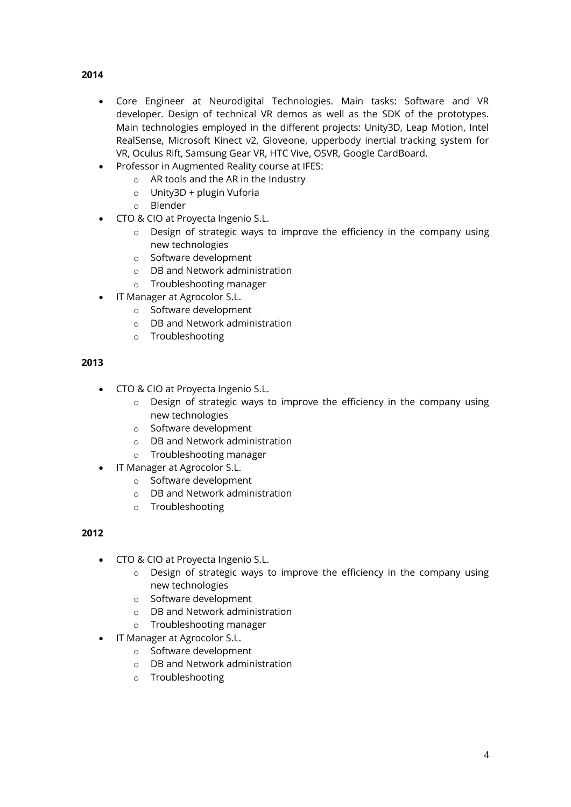- **2014**
	- Core Engineer at Neurodigital Technologies. Main tasks: Software and VR developer. Design of technical VR demos as well as the SDK of the prototypes. Main technologies employed in the different projects: Unity3D, Leap Motion, Intel RealSense, Microsoft Kinect v2, Gloveone, upperbody inertial tracking system for VR, Oculus Rift, Samsung Gear VR, HTC Vive, OSVR, Google CardBoard.
	- Professor in Augmented Reality course at IFES:
		- o AR tools and the AR in the Industry
		- o Unity3D + plugin Vuforia
		- o Blender
	- CTO & CIO at Proyecta Ingenio S.L.
		- o Design of strategic ways to improve the efficiency in the company using new technologies
		- o Software development
		- o DB and Network administration
		- o Troubleshooting manager
	- IT Manager at Agrocolor S.L.
		- o Software development
		- o DB and Network administration
		- o Troubleshooting

#### **2013**

- CTO & CIO at Proyecta Ingenio S.L.
	- o Design of strategic ways to improve the efficiency in the company using new technologies
	- o Software development
	- o DB and Network administration
	- o Troubleshooting manager
- IT Manager at Agrocolor S.L.
	- o Software development
	- o DB and Network administration
	- o Troubleshooting

#### **2012**

- CTO & CIO at Proyecta Ingenio S.L.
	- o Design of strategic ways to improve the efficiency in the company using new technologies
	- o Software development
	- o DB and Network administration
	- o Troubleshooting manager
- IT Manager at Agrocolor S.L.
	- o Software development
	- o DB and Network administration
	- o Troubleshooting